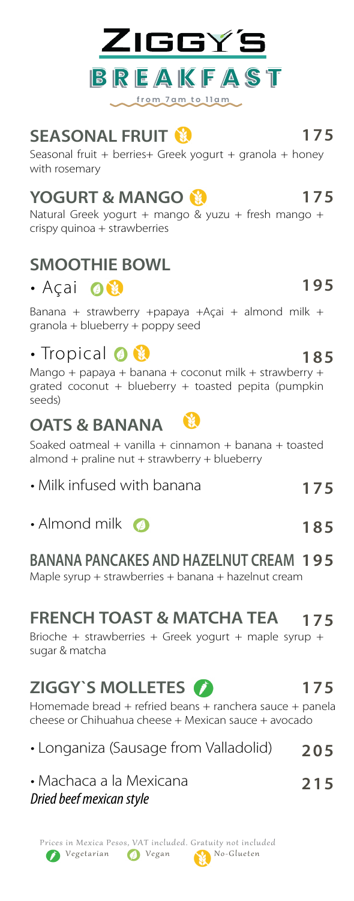

### **SEASONAL FRUIT 175**

Seasonal fruit + berries+ Greek yogurt + granola + honey with rosemary

### **YOGURT & MANGO 175**

Natural Greek yogurt + mango & yuzu + fresh mango + crispy quinoa + strawberries

#### **SMOOTHIE BOWL**

### · Açai O

Banana + strawberry +papaya +Açai + almond milk + granola + blueberry + poppy seed

### • Tropical **0 8** 185

Mango + papaya + banana + coconut milk + strawberry + grated coconut + blueberry + toasted pepita (pumpkin seeds)

#### **OATS & BANANA**

Soaked oatmeal + vanilla + cinnamon + banana + toasted  $almost$  + praline nut + strawberry + blueberry

- Milk infused with banana
- Almond milk **2 185**

#### **BANANA PANCAKES AND HAZELNUT CREAM 195**

Maple syrup + strawberries + banana + hazelnut cream

### **FRENCH TOAST & MATCHA TEA 175**

Brioche + strawberries + Greek yogurt + maple syrup + sugar & matcha

## **ZIGGY'S MOLLETES (2)** 175

Homemade bread + refried beans + ranchera sauce + panela cheese or Chihuahua cheese + Mexican sauce + avocado

| • Longaniza (Sausage from Valladolid) | 205 |
|---------------------------------------|-----|
| • Machaca a la Mexicana               | 215 |
| Dried beef mexican style              |     |

#### Vegetarian **O** Vegan No-Glueten Prices in Mexica Pesos, VAT included. Gratuity not included

# **175**





**195**